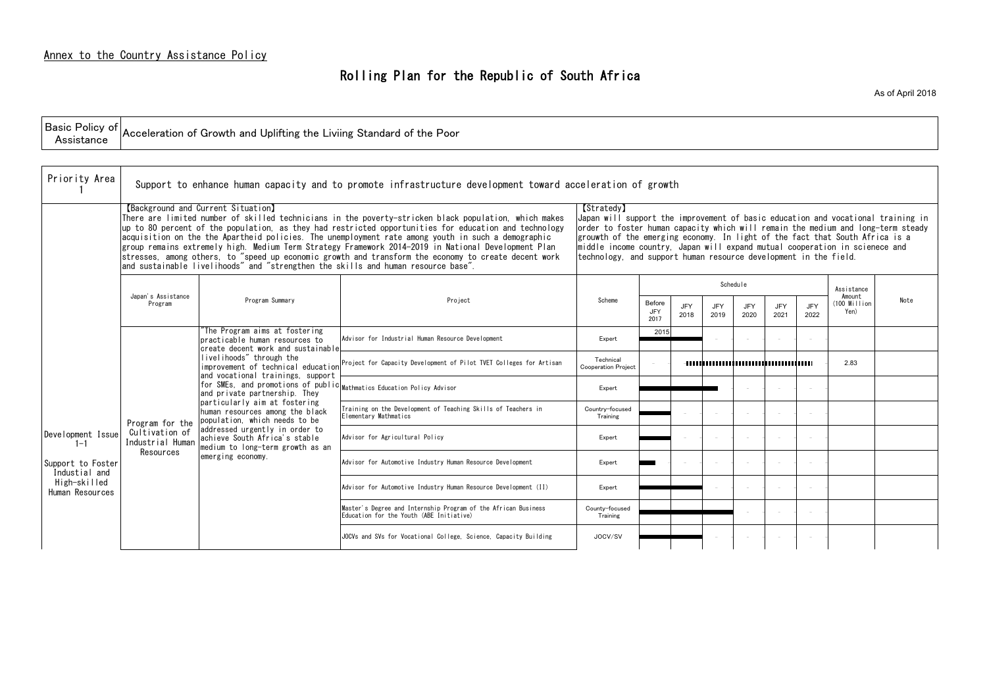| celeration of growth                                                                                                                                                                                                                                                                                                                                                                                                  |                              |                    |                    |                    |                    |                    |                                  |      |  |  |
|-----------------------------------------------------------------------------------------------------------------------------------------------------------------------------------------------------------------------------------------------------------------------------------------------------------------------------------------------------------------------------------------------------------------------|------------------------------|--------------------|--------------------|--------------------|--------------------|--------------------|----------------------------------|------|--|--|
| [Stratedy]<br>Japan will support the improvement of basic education and vocational training in<br>order to foster human capacity which will remain the medium and long-term steady<br>grouwth of the emerging economy. In light of the fact that South Africa is a<br>middle income country, Japan will expand mutual cooperation in scienece and<br>technology, and support human resource development in the field. |                              |                    |                    |                    |                    |                    |                                  |      |  |  |
|                                                                                                                                                                                                                                                                                                                                                                                                                       |                              |                    |                    | Schedule           |                    |                    | Assistance                       |      |  |  |
| Scheme                                                                                                                                                                                                                                                                                                                                                                                                                | Before<br><b>JFY</b><br>2017 | <b>JFY</b><br>2018 | <b>JFY</b><br>2019 | <b>JFY</b><br>2020 | <b>JFY</b><br>2021 | <b>JFY</b><br>2022 | Amount<br>$(100$ Million<br>Yen) | Note |  |  |
| Expert                                                                                                                                                                                                                                                                                                                                                                                                                | 2015                         |                    |                    |                    |                    |                    |                                  |      |  |  |
| Technical<br><b>Cooperation Project</b>                                                                                                                                                                                                                                                                                                                                                                               |                              |                    |                    |                    |                    |                    | 2.83                             |      |  |  |
| Expert                                                                                                                                                                                                                                                                                                                                                                                                                |                              |                    |                    |                    |                    |                    |                                  |      |  |  |
| Country-focused<br>Training                                                                                                                                                                                                                                                                                                                                                                                           |                              |                    |                    |                    |                    |                    |                                  |      |  |  |
| Expert                                                                                                                                                                                                                                                                                                                                                                                                                |                              |                    |                    |                    |                    |                    |                                  |      |  |  |
| Expert                                                                                                                                                                                                                                                                                                                                                                                                                |                              |                    |                    |                    |                    |                    |                                  |      |  |  |
| Expert                                                                                                                                                                                                                                                                                                                                                                                                                |                              |                    |                    |                    |                    |                    |                                  |      |  |  |
| County-focused<br>Training                                                                                                                                                                                                                                                                                                                                                                                            |                              |                    |                    |                    |                    |                    |                                  |      |  |  |
| JOCV/SV                                                                                                                                                                                                                                                                                                                                                                                                               |                              |                    |                    |                    |                    |                    |                                  |      |  |  |

| Priority Area                      |                                    |                                                                                                                                                                                                                                                                                                                                                                                                                                                                                                                                                                       | Support to enhance human capacity and to promote infrastructure development toward acceleration of growth                                                                                                                                                                                                                                                                                                                                                                                                                           |                                                                                                                                                                                                                                                                                                                                                                                                                             |                       |             |                    |             |             |             |                                |     |
|------------------------------------|------------------------------------|-----------------------------------------------------------------------------------------------------------------------------------------------------------------------------------------------------------------------------------------------------------------------------------------------------------------------------------------------------------------------------------------------------------------------------------------------------------------------------------------------------------------------------------------------------------------------|-------------------------------------------------------------------------------------------------------------------------------------------------------------------------------------------------------------------------------------------------------------------------------------------------------------------------------------------------------------------------------------------------------------------------------------------------------------------------------------------------------------------------------------|-----------------------------------------------------------------------------------------------------------------------------------------------------------------------------------------------------------------------------------------------------------------------------------------------------------------------------------------------------------------------------------------------------------------------------|-----------------------|-------------|--------------------|-------------|-------------|-------------|--------------------------------|-----|
|                                    |                                    | [Background and Current Situation]<br>and sustainable livelihoods" and "strengthen the skills and human resource base".                                                                                                                                                                                                                                                                                                                                                                                                                                               | There are limited number of skilled technicians in the poverty-stricken black population, which makes<br>up to 80 percent of the population, as they had restricted opportunities for education and technology<br>acquisition on the the Apartheid policies. The unemployment rate among youth in such a demographic<br>group remains extremely high. Medium Term Strategy Framework 2014-2019 in National Development Plan<br>stresses, among others, to "speed up economic growth and transform the economy to create decent work | <b>[Stratedy]</b><br>Japan will support the improvement of basic education and vocational trainin<br>order to foster human capacity which will remain the medium and long-term st<br>grouwth of the emerging economy. In light of the fact that South Africa is a<br>$\mid$ middle income country, Japan will expand mutual cooperation in scienece and<br>technology, and support human resource development in the field. |                       |             |                    |             |             |             |                                |     |
|                                    |                                    |                                                                                                                                                                                                                                                                                                                                                                                                                                                                                                                                                                       |                                                                                                                                                                                                                                                                                                                                                                                                                                                                                                                                     |                                                                                                                                                                                                                                                                                                                                                                                                                             |                       |             |                    | Schedule    |             |             | Assistance                     |     |
|                                    | Japan's Assistance<br>Program      | Program Summary                                                                                                                                                                                                                                                                                                                                                                                                                                                                                                                                                       | Project                                                                                                                                                                                                                                                                                                                                                                                                                                                                                                                             | Scheme                                                                                                                                                                                                                                                                                                                                                                                                                      | Before<br>JFY<br>2017 | JFY<br>2018 | <b>JFY</b><br>2019 | JFY<br>2020 | JFY<br>2021 | JFY<br>2022 | Amount<br>(100 Million<br>Yen) | Not |
|                                    |                                    | The Program aims at fostering<br>practicable human resources to<br>create decent work and sustainable<br>livelihoods" through the<br>improvement of technical education<br>and vocational trainings, support<br>for SMEs, and promotions of public Mathmatics Education Policy Advisor<br>and private partnership. They<br>particularly aim at fostering<br>human resources among the black<br>population, which needs to be<br>addressed urgently in order to<br>achieve South Africa's stable<br>medium to long-term growth as an<br>Resources<br>emerging economy. | Advisor for Industrial Human Resource Development                                                                                                                                                                                                                                                                                                                                                                                                                                                                                   | Expert                                                                                                                                                                                                                                                                                                                                                                                                                      | 2015                  |             |                    |             |             | $\sim$      |                                |     |
|                                    | Program for the                    |                                                                                                                                                                                                                                                                                                                                                                                                                                                                                                                                                                       | Project for Capacity Development of Pilot TVET Colleges for Artisan                                                                                                                                                                                                                                                                                                                                                                                                                                                                 | Technical<br><b>Cooperation Project</b>                                                                                                                                                                                                                                                                                                                                                                                     |                       |             |                    |             |             |             | 2.83                           |     |
|                                    |                                    |                                                                                                                                                                                                                                                                                                                                                                                                                                                                                                                                                                       |                                                                                                                                                                                                                                                                                                                                                                                                                                                                                                                                     | Expert                                                                                                                                                                                                                                                                                                                                                                                                                      |                       |             |                    |             |             | $\sim$      |                                |     |
|                                    |                                    |                                                                                                                                                                                                                                                                                                                                                                                                                                                                                                                                                                       | Training on the Development of Teaching Skills of Teachers in<br>Elementary Mathmatics                                                                                                                                                                                                                                                                                                                                                                                                                                              | Country-focused<br>Training                                                                                                                                                                                                                                                                                                                                                                                                 |                       |             |                    |             |             | $\sim$      |                                |     |
| Development Issue<br>$1 - 1$       | Cultivation of<br>Industrial Human |                                                                                                                                                                                                                                                                                                                                                                                                                                                                                                                                                                       | Advisor for Agricultural Policy                                                                                                                                                                                                                                                                                                                                                                                                                                                                                                     | Expert                                                                                                                                                                                                                                                                                                                                                                                                                      |                       |             |                    |             |             | $\sim$      |                                |     |
| Support to Foster<br>Industial and |                                    |                                                                                                                                                                                                                                                                                                                                                                                                                                                                                                                                                                       | Advisor for Automotive Industry Human Resource Development                                                                                                                                                                                                                                                                                                                                                                                                                                                                          | Expert                                                                                                                                                                                                                                                                                                                                                                                                                      |                       |             | $\sim$             |             |             | $\sim$      |                                |     |
| High-skilled<br>Human Resources    |                                    |                                                                                                                                                                                                                                                                                                                                                                                                                                                                                                                                                                       | Advisor for Automotive Industry Human Resource Development (II)                                                                                                                                                                                                                                                                                                                                                                                                                                                                     | Expert                                                                                                                                                                                                                                                                                                                                                                                                                      |                       |             |                    |             |             | $\sim$      |                                |     |
|                                    |                                    |                                                                                                                                                                                                                                                                                                                                                                                                                                                                                                                                                                       | Master's Degree and Internship Program of the African Business<br>Education for the Youth (ABE Initiative)                                                                                                                                                                                                                                                                                                                                                                                                                          | County-focused<br>Training                                                                                                                                                                                                                                                                                                                                                                                                  |                       |             |                    |             |             | $\sim$      |                                |     |
|                                    |                                    |                                                                                                                                                                                                                                                                                                                                                                                                                                                                                                                                                                       | JOCVs and SVs for Vocational College, Science, Capacity Building                                                                                                                                                                                                                                                                                                                                                                                                                                                                    | JOCV/SV                                                                                                                                                                                                                                                                                                                                                                                                                     |                       |             |                    |             |             | $\sim$      |                                |     |

| Basic<br>Policy of $\mathsf{L}$<br>" Acceleration of Growth and Uplifting the Liviing Standard of the F<br>. Poor |  |
|-------------------------------------------------------------------------------------------------------------------|--|
|-------------------------------------------------------------------------------------------------------------------|--|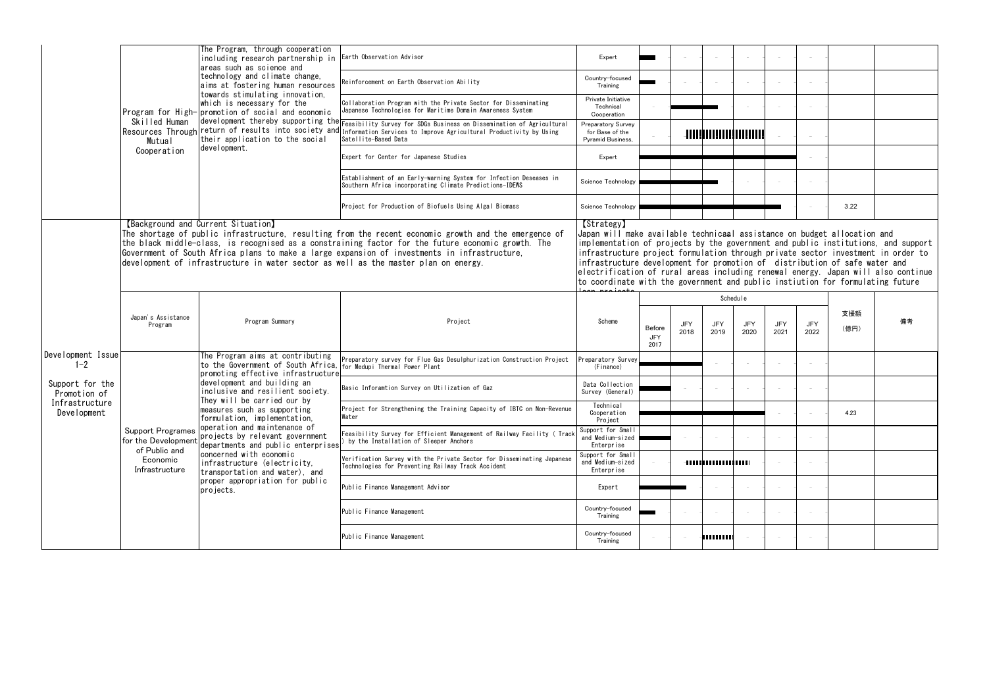|                                 |                                                 | The Program, through cooperation<br>including research partnership in                                                                                                                                                                                                                                                                                                                                                                    | Earth Observation Advisor                                                                                                                                                                                                                                                                                                                                                                                                                                                                                                         | Expert                                                            |                       |             |             |             |                    |             |             |    |
|---------------------------------|-------------------------------------------------|------------------------------------------------------------------------------------------------------------------------------------------------------------------------------------------------------------------------------------------------------------------------------------------------------------------------------------------------------------------------------------------------------------------------------------------|-----------------------------------------------------------------------------------------------------------------------------------------------------------------------------------------------------------------------------------------------------------------------------------------------------------------------------------------------------------------------------------------------------------------------------------------------------------------------------------------------------------------------------------|-------------------------------------------------------------------|-----------------------|-------------|-------------|-------------|--------------------|-------------|-------------|----|
|                                 |                                                 | areas such as science and<br>technology and climate change,<br>aims at fostering human resources<br>towards stimulating innovation,<br>which is necessary for the<br>Program for High- promotion of social and economic<br>Resources Through return of results into society and<br>their application to the social                                                                                                                       | Reinforcement on Earth Observation Ability                                                                                                                                                                                                                                                                                                                                                                                                                                                                                        | Country-focused<br>Training                                       |                       |             |             |             |                    | $\sim$      |             |    |
|                                 |                                                 |                                                                                                                                                                                                                                                                                                                                                                                                                                          | Collaboration Program with the Private Sector for Disseminating<br>Japanese Technologies for Maritime Domain Awareness System                                                                                                                                                                                                                                                                                                                                                                                                     | Private Initiative<br>Technical<br>Cooperation                    |                       |             |             |             |                    |             |             |    |
|                                 | Skilled Human<br><b>Mutual</b>                  |                                                                                                                                                                                                                                                                                                                                                                                                                                          | development thereby supporting the Feasibility Survey for SDGs Business on Dissemination of Agricultural<br>Information Services to Improve Agricultural Productivity by Using<br>Satellite-Based Data                                                                                                                                                                                                                                                                                                                            | Preparatory Survey<br>for Base of the<br><b>Pyramid Business.</b> |                       |             |             |             |                    | $\sim$      |             |    |
|                                 | Cooperation                                     | development.                                                                                                                                                                                                                                                                                                                                                                                                                             | Expert for Center for Japanese Studies                                                                                                                                                                                                                                                                                                                                                                                                                                                                                            | Expert                                                            |                       |             |             |             |                    |             |             |    |
|                                 |                                                 |                                                                                                                                                                                                                                                                                                                                                                                                                                          | Establishment of an Early-warning System for Infection Deseases in<br>Southern Africa incorporating Climate Predictions-IDEWS                                                                                                                                                                                                                                                                                                                                                                                                     | Science Technology                                                |                       |             |             |             |                    | $\sim$      |             |    |
|                                 |                                                 |                                                                                                                                                                                                                                                                                                                                                                                                                                          | Project for Production of Biofuels Using Algal Biomass                                                                                                                                                                                                                                                                                                                                                                                                                                                                            | Science Technology                                                |                       |             |             |             |                    |             | 3.22        |    |
|                                 |                                                 | [Background and Current Situation]<br>The shortage of public infrastructure, resulting from the recent economic growth and the emergence of<br>the black middle-class, is recognised as a constraining factor for the future economic growth. The<br>Government of South Africa plans to make a large expansion of investments in infrastructure,<br>development of infrastructure in water sector as well as the master plan on energy. | [Strategy]<br>Japan will make available technica <del>a</del> l assistance on budget allocation and<br>implementation of projects by the government and public institutions, and support<br>infrastructure project formulation through private sector investment in order to<br>infrastructure development for promotion of distribution of safe water and<br>electrification of rural areas including renewal energy. Japan will also continue<br>to coordinate with the government and public instiution for formulating future |                                                                   |                       |             |             |             |                    |             |             |    |
|                                 |                                                 |                                                                                                                                                                                                                                                                                                                                                                                                                                          |                                                                                                                                                                                                                                                                                                                                                                                                                                                                                                                                   |                                                                   |                       |             |             | Schedule    |                    |             |             |    |
|                                 |                                                 |                                                                                                                                                                                                                                                                                                                                                                                                                                          |                                                                                                                                                                                                                                                                                                                                                                                                                                                                                                                                   |                                                                   |                       |             |             |             |                    |             |             |    |
|                                 | Japan's Assistance<br>Program                   | Program Summary                                                                                                                                                                                                                                                                                                                                                                                                                          | Project                                                                                                                                                                                                                                                                                                                                                                                                                                                                                                                           | Scheme                                                            | Before<br>JFY<br>2017 | JFY<br>2018 | JFY<br>2019 | JFY<br>2020 | <b>JFY</b><br>2021 | JFY<br>2022 | 支援額<br>(億円) | 備考 |
| Development Issue<br>$1 - 2$    |                                                 | The Program aims at contributing<br>to the Government of South Africa,                                                                                                                                                                                                                                                                                                                                                                   | Preparatory survey for Flue Gas Desulphurization Construction Project<br>for Medupi Thermal Power Plant                                                                                                                                                                                                                                                                                                                                                                                                                           | Preparatory Survey<br>(Finance)                                   |                       |             |             |             |                    | $\sim$      |             |    |
| Support for the<br>Promotion of |                                                 | promoting effective infrastructure<br>development and building an<br>inclusive and resilient society.                                                                                                                                                                                                                                                                                                                                    | Basic Inforamtion Survey on Utilization of Gaz                                                                                                                                                                                                                                                                                                                                                                                                                                                                                    | Data Collection<br>Survey (General)                               |                       |             |             |             |                    | $\sim$      |             |    |
| Infrastructure<br>Development   |                                                 | They will be carried our by<br>measures such as supporting<br>formulation, implementation,                                                                                                                                                                                                                                                                                                                                               | Project for Strengthening the Training Capacity of IBTC on Non-Revenue<br>Water                                                                                                                                                                                                                                                                                                                                                                                                                                                   | Technical<br>Cooperation<br>Project                               |                       |             |             |             |                    |             | 4.23        |    |
|                                 | <b>Support Programes</b><br>for the Development | operation and maintenance of<br>projects by relevant government<br>departments and public enterprises                                                                                                                                                                                                                                                                                                                                    | Feasibility Survey for Efficient Management of Railway Facility ( Track<br>by the Installation of Sleeper Anchors                                                                                                                                                                                                                                                                                                                                                                                                                 | Support for Small<br>and Medium-sized<br>Enterprise               |                       |             |             |             |                    | $\sim$      |             |    |
|                                 | of Public and<br>Economic<br>Infrastructure     | concerned with economic<br>infrastructure (electricity,                                                                                                                                                                                                                                                                                                                                                                                  | Verification Survey with the Private Sector for Disseminating Japanese<br>Technologies for Preventing Railway Track Accident                                                                                                                                                                                                                                                                                                                                                                                                      | Support for Small<br>and Medium-sized<br>Enterprise               |                       |             |             |             |                    | $\sim$      |             |    |
|                                 |                                                 | transportation and water), and<br>proper appropriation for public<br>projects.                                                                                                                                                                                                                                                                                                                                                           | Public Finance Management Advisor                                                                                                                                                                                                                                                                                                                                                                                                                                                                                                 | Expert                                                            |                       |             |             |             |                    | $\sim$      |             |    |
|                                 |                                                 |                                                                                                                                                                                                                                                                                                                                                                                                                                          | Public Finance Management                                                                                                                                                                                                                                                                                                                                                                                                                                                                                                         | Country-focused<br>Training                                       |                       |             |             |             |                    | $\sim$      |             |    |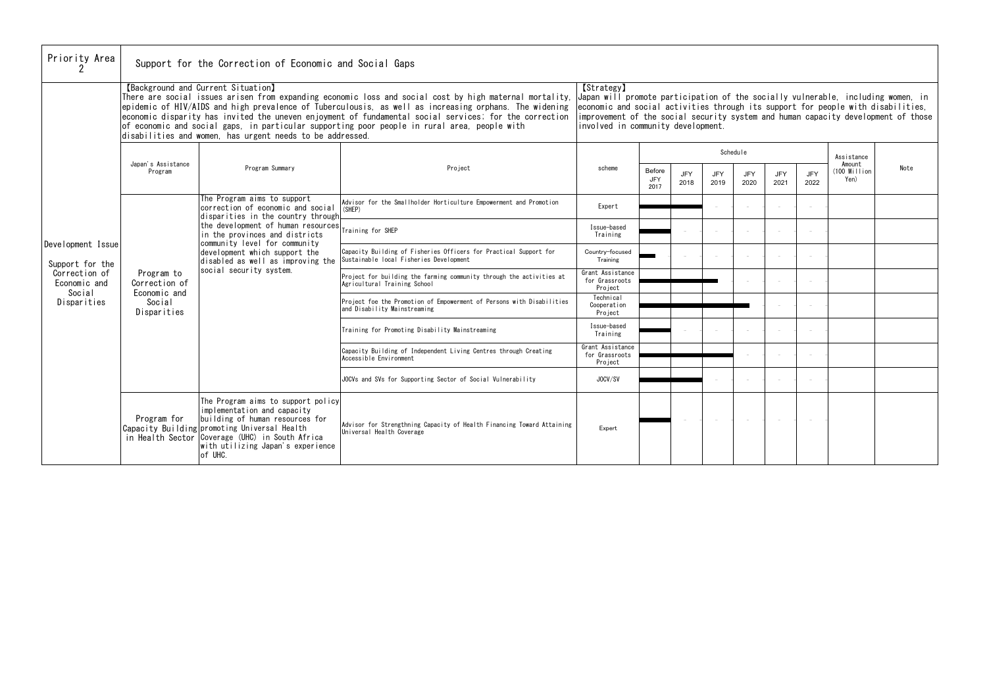| <b>T</b> orlaregal<br>Japan will promote participation of the socially vulnerable, including women, in<br>economic and social activities through its support for people with disabilities,<br>improvement of the social security system and human capacity development of those<br>involved in community development. |                                     |                    |             |                    |             |                    |                                  |      |  |  |
|-----------------------------------------------------------------------------------------------------------------------------------------------------------------------------------------------------------------------------------------------------------------------------------------------------------------------|-------------------------------------|--------------------|-------------|--------------------|-------------|--------------------|----------------------------------|------|--|--|
| scheme                                                                                                                                                                                                                                                                                                                |                                     |                    | Schedule    |                    |             |                    | Assistance                       |      |  |  |
|                                                                                                                                                                                                                                                                                                                       | <b>Before</b><br><b>JFY</b><br>2017 | <b>JFY</b><br>2018 | JFY<br>2019 | <b>JFY</b><br>2020 | JFY<br>2021 | <b>JFY</b><br>2022 | Amount<br>$(100$ Million<br>Yen) | Note |  |  |
| Expert                                                                                                                                                                                                                                                                                                                |                                     |                    |             |                    |             |                    |                                  |      |  |  |
| Issue-based<br>Training                                                                                                                                                                                                                                                                                               |                                     |                    |             |                    |             |                    |                                  |      |  |  |
| Country-focused<br>Training                                                                                                                                                                                                                                                                                           |                                     |                    |             |                    |             |                    |                                  |      |  |  |
| Grant Assistance<br>for Grassroots<br>Project                                                                                                                                                                                                                                                                         |                                     |                    |             |                    |             |                    |                                  |      |  |  |
| Technical<br>Cooperation<br>Project                                                                                                                                                                                                                                                                                   |                                     |                    |             |                    |             |                    |                                  |      |  |  |
| Issue-based<br>Training                                                                                                                                                                                                                                                                                               |                                     |                    |             |                    |             |                    |                                  |      |  |  |
| Grant Assistance<br>for Grassroots<br>Project                                                                                                                                                                                                                                                                         |                                     |                    |             |                    |             |                    |                                  |      |  |  |
| JOCV/SV                                                                                                                                                                                                                                                                                                               |                                     |                    |             |                    |             |                    |                                  |      |  |  |
|                                                                                                                                                                                                                                                                                                                       |                                     |                    |             |                    |             |                    |                                  |      |  |  |
| Expert                                                                                                                                                                                                                                                                                                                |                                     |                    |             |                    |             |                    |                                  |      |  |  |

| Priority Area                           |                                                                      | Support for the Correction of Economic and Social Gaps                                                                                                                                                                                                                                                                                                                                                                                                                                                                         |                                                                                                                                                                                                                                                |                                               |                       |                    |                    |                    |                    |                    |  |
|-----------------------------------------|----------------------------------------------------------------------|--------------------------------------------------------------------------------------------------------------------------------------------------------------------------------------------------------------------------------------------------------------------------------------------------------------------------------------------------------------------------------------------------------------------------------------------------------------------------------------------------------------------------------|------------------------------------------------------------------------------------------------------------------------------------------------------------------------------------------------------------------------------------------------|-----------------------------------------------|-----------------------|--------------------|--------------------|--------------------|--------------------|--------------------|--|
|                                         |                                                                      | [Background and Current Situation]<br>There are social issues arisen from expanding economic loss and social cost by high maternal mortality,<br>epidemic of HIV/AIDS and high prevalence of Tuberculousis, as well as increasing orphans. The widening<br>economic disparity has invited the uneven enjoyment of fundamental social services; for the correction<br>of economic and social gaps, in particular supporting poor people in rural area, people with<br>disabilities and women, has urgent needs to be addressed. | <b>[Strategy]</b><br>Japan will promote participation of the socially vulnerab<br>economic and social activities through its support for pe<br>improvement of the social security system and human capac<br>involved in community development. |                                               |                       |                    |                    |                    |                    |                    |  |
|                                         |                                                                      |                                                                                                                                                                                                                                                                                                                                                                                                                                                                                                                                |                                                                                                                                                                                                                                                |                                               |                       |                    |                    | Schedule           |                    |                    |  |
|                                         | Japan's Assistance<br>Program                                        | Program Summary                                                                                                                                                                                                                                                                                                                                                                                                                                                                                                                | Project                                                                                                                                                                                                                                        | scheme                                        | Before<br>JFY<br>2017 | <b>JFY</b><br>2018 | <b>JFY</b><br>2019 | <b>JFY</b><br>2020 | <b>JFY</b><br>2021 | <b>JFY</b><br>2022 |  |
|                                         | Program to<br>Correction of<br>Economic and<br>Social<br>Disparities | The Program aims to support<br>correction of economic and social<br>disparities in the country through                                                                                                                                                                                                                                                                                                                                                                                                                         | Advisor for the Smallholder Horticulture Empowerment and Promotion<br>(SHEP)                                                                                                                                                                   | Expert                                        |                       |                    |                    |                    |                    |                    |  |
|                                         |                                                                      | the development of human resources<br>in the provinces and districts<br>community level for community<br>development which support the<br>disabled as well as improving the<br>social security system.                                                                                                                                                                                                                                                                                                                         | Training for SHEP                                                                                                                                                                                                                              | Issue-based<br>Training                       |                       |                    |                    |                    |                    |                    |  |
| Development Issue<br>Support for the    |                                                                      |                                                                                                                                                                                                                                                                                                                                                                                                                                                                                                                                | Capacity Building of Fisheries Officers for Practical Support for<br>Sustainable local Fisheries Development                                                                                                                                   | Country-focused<br>Training                   |                       |                    |                    |                    |                    |                    |  |
| Correction of<br>Economic and<br>Social |                                                                      |                                                                                                                                                                                                                                                                                                                                                                                                                                                                                                                                | Project for building the farming community through the activities at<br>Agricultural Training School                                                                                                                                           | Grant Assistance<br>for Grassroots<br>Project |                       |                    |                    |                    |                    |                    |  |
| Disparities                             |                                                                      |                                                                                                                                                                                                                                                                                                                                                                                                                                                                                                                                | Project foe the Promotion of Empowerment of Persons with Disabilities<br>and Disability Mainstreaming                                                                                                                                          | Technical<br>Cooperation<br>Project           |                       |                    |                    |                    |                    |                    |  |
|                                         |                                                                      |                                                                                                                                                                                                                                                                                                                                                                                                                                                                                                                                | Training for Promoting Disability Mainstreaming                                                                                                                                                                                                | Issue-based<br>Training                       |                       |                    |                    |                    |                    |                    |  |
|                                         |                                                                      |                                                                                                                                                                                                                                                                                                                                                                                                                                                                                                                                | Capacity Building of Independent Living Centres through Creating<br>Accessible Environment                                                                                                                                                     | Grant Assistance<br>for Grassroots<br>Project |                       |                    |                    |                    |                    |                    |  |
|                                         |                                                                      |                                                                                                                                                                                                                                                                                                                                                                                                                                                                                                                                | JOCVs and SVs for Supporting Sector of Social Vulnerability                                                                                                                                                                                    | JOCV/SV                                       |                       |                    |                    |                    |                    |                    |  |
|                                         | Program for                                                          | The Program aims to support policy<br>implementation and capacity<br>building of human resources for<br>Capacity Building promoting Universal Health<br>in Health Sector Coverage (UHC) in South Africa<br>with utilizing Japan's experience<br>of UHC.                                                                                                                                                                                                                                                                        | Advisor for Strengthning Capacity of Health Financing Toward Attaining<br>Universal Health Coverage                                                                                                                                            | Expert                                        |                       |                    |                    |                    |                    |                    |  |